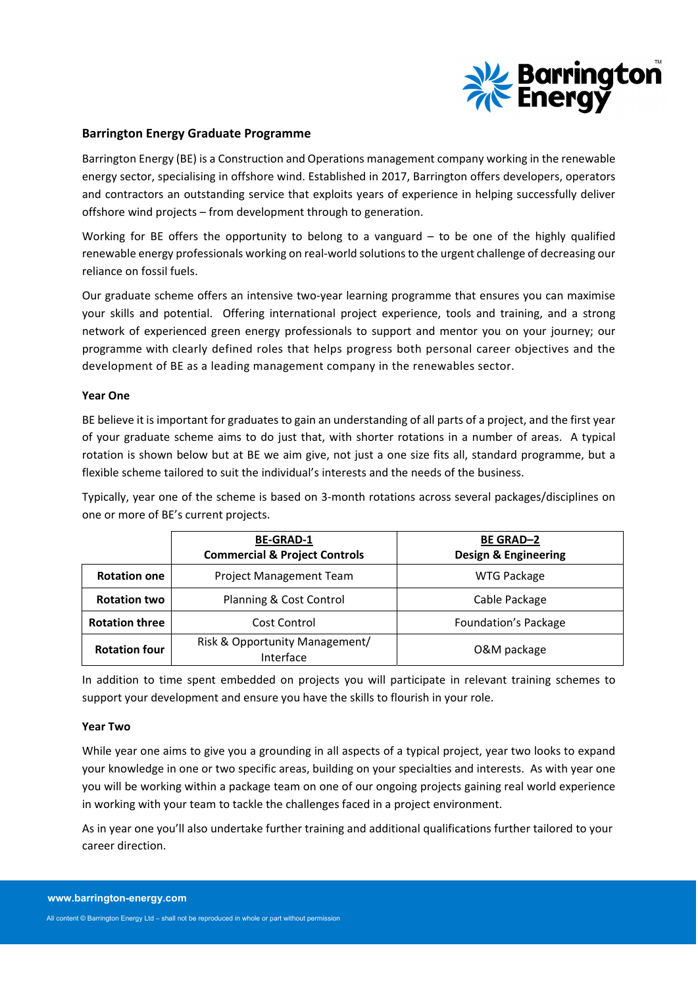

# **Barrington Energy Graduate Programme**

Barrington Energy (BE) is a Construction and Operations management company working in the renewable energy sector, specialising in offshore wind. Established in 2017, Barrington offers developers, operators and contractors an outstanding service that exploits years of experience in helping successfully deliver offshore wind projects – from development through to generation.

Working for BE offers the opportunity to belong to a vanguard  $-$  to be one of the highly qualified renewable energy professionals working on real‐world solutionsto the urgent challenge of decreasing our reliance on fossil fuels.

Our graduate scheme offers an intensive two-year learning programme that ensures you can maximise your skills and potential. Offering international project experience, tools and training, and a strong network of experienced green energy professionals to support and mentor you on your journey; our programme with clearly defined roles that helps progress both personal career objectives and the development of BE as a leading management company in the renewables sector.

## **Year One**

BE believe it is important for graduates to gain an understanding of all parts of a project, and the first year of your graduate scheme aims to do just that, with shorter rotations in a number of areas. A typical rotation is shown below but at BE we aim give, not just a one size fits all, standard programme, but a flexible scheme tailored to suit the individual's interests and the needs of the business.

Typically, year one of the scheme is based on 3‐month rotations across several packages/disciplines on one or more of BE's current projects.

|                       | <b>BE-GRAD-1</b><br><b>Commercial &amp; Project Controls</b> | <b>BE GRAD-2</b><br><b>Design &amp; Engineering</b> |
|-----------------------|--------------------------------------------------------------|-----------------------------------------------------|
| <b>Rotation one</b>   | Project Management Team                                      | <b>WTG Package</b>                                  |
| <b>Rotation two</b>   | Planning & Cost Control                                      | Cable Package                                       |
| <b>Rotation three</b> | Cost Control                                                 | Foundation's Package                                |
| <b>Rotation four</b>  | Risk & Opportunity Management/<br>Interface                  | O&M package                                         |

In addition to time spent embedded on projects you will participate in relevant training schemes to support your development and ensure you have the skills to flourish in your role.

#### **Year Two**

While year one aims to give you a grounding in all aspects of a typical project, year two looks to expand your knowledge in one or two specific areas, building on your specialties and interests. As with year one you will be working within a package team on one of our ongoing projects gaining real world experience in working with your team to tackle the challenges faced in a project environment.

As in year one you'll also undertake further training and additional qualifications further tailored to your career direction.

All content © Barrington Energy Ltd – shall not be reproduced in whole or part without permission